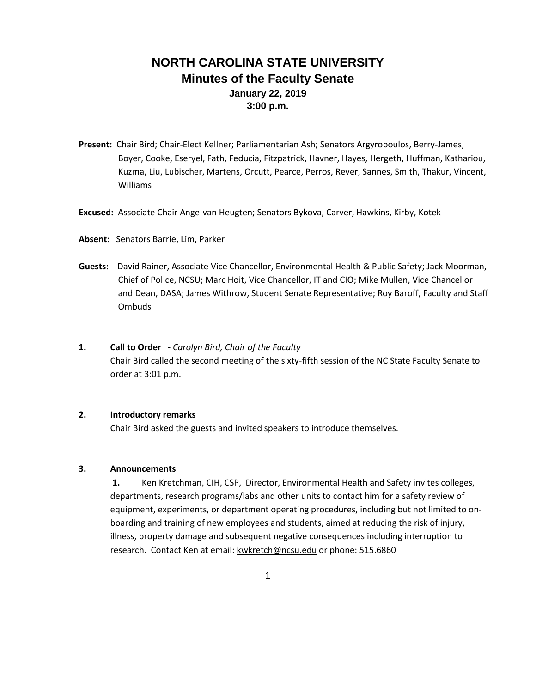# **NORTH CAROLINA STATE UNIVERSITY Minutes of the Faculty Senate January 22, 2019 3:00 p.m.**

- **Present:** Chair Bird; Chair-Elect Kellner; Parliamentarian Ash; Senators Argyropoulos, Berry-James, Boyer, Cooke, Eseryel, Fath, Feducia, Fitzpatrick, Havner, Hayes, Hergeth, Huffman, Kathariou, Kuzma, Liu, Lubischer, Martens, Orcutt, Pearce, Perros, Rever, Sannes, Smith, Thakur, Vincent, Williams
- **Excused:** Associate Chair Ange-van Heugten; Senators Bykova, Carver, Hawkins, Kirby, Kotek
- **Absent**: Senators Barrie, Lim, Parker
- **Guests:** David Rainer, Associate Vice Chancellor, Environmental Health & Public Safety; Jack Moorman, Chief of Police, NCSU; Marc Hoit, Vice Chancellor, IT and CIO; Mike Mullen, Vice Chancellor and Dean, DASA; James Withrow, Student Senate Representative; Roy Baroff, Faculty and Staff Ombuds
- **1. Call to Order -** *Carolyn Bird, Chair of the Faculty* Chair Bird called the second meeting of the sixty-fifth session of the NC State Faculty Senate to order at 3:01 p.m.

# **2. Introductory remarks**

Chair Bird asked the guests and invited speakers to introduce themselves.

#### **3. Announcements**

**1.** Ken Kretchman, CIH, CSP, Director, Environmental Health and Safety invites colleges, departments, research programs/labs and other units to contact him for a safety review of equipment, experiments, or department operating procedures, including but not limited to onboarding and training of new employees and students, aimed at reducing the risk of injury, illness, property damage and subsequent negative consequences including interruption to research. Contact Ken at email: [kwkretch@ncsu.edu](mailto:kwkretch@ncsu.edu) or phone: 515.6860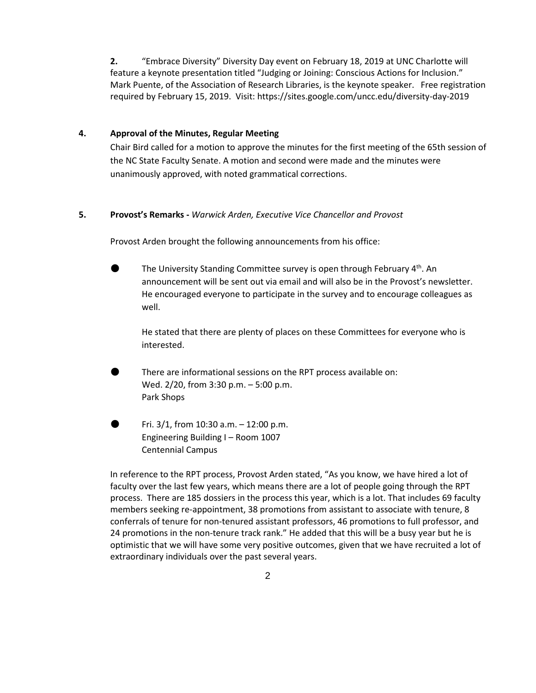**2.** "Embrace Diversity" Diversity Day event on February 18, 2019 at UNC Charlotte will feature a keynote presentation titled "Judging or Joining: Conscious Actions for Inclusion." Mark Puente, of the Association of Research Libraries, is the keynote speaker. Free registration required by February 15, 2019. Visit: https://sites.google.com/uncc.edu/diversity-day-2019

### **4. Approval of the Minutes, Regular Meeting**

Chair Bird called for a motion to approve the minutes for the first meeting of the 65th session of the NC State Faculty Senate. A motion and second were made and the minutes were unanimously approved, with noted grammatical corrections.

#### **5. Provost's Remarks -** *Warwick Arden, Executive Vice Chancellor and Provost*

Provost Arden brought the following announcements from his office:

The University Standing Committee survey is open through February  $4<sup>th</sup>$ . An announcement will be sent out via email and will also be in the Provost's newsletter. He encouraged everyone to participate in the survey and to encourage colleagues as well.

He stated that there are plenty of places on these Committees for everyone who is interested.

There are informational sessions on the RPT process available on: Wed. 2/20, from 3:30 p.m. – 5:00 p.m. Park Shops

Fri.  $3/1$ , from 10:30 a.m.  $-$  12:00 p.m. Engineering Building I – Room 1007 Centennial Campus

In reference to the RPT process, Provost Arden stated, "As you know, we have hired a lot of faculty over the last few years, which means there are a lot of people going through the RPT process. There are 185 dossiers in the process this year, which is a lot. That includes 69 faculty members seeking re-appointment, 38 promotions from assistant to associate with tenure, 8 conferrals of tenure for non-tenured assistant professors, 46 promotions to full professor, and 24 promotions in the non-tenure track rank." He added that this will be a busy year but he is optimistic that we will have some very positive outcomes, given that we have recruited a lot of extraordinary individuals over the past several years.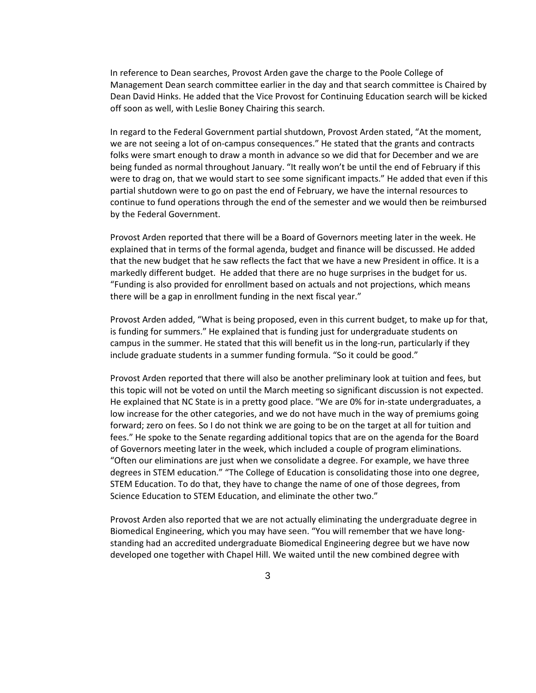In reference to Dean searches, Provost Arden gave the charge to the Poole College of Management Dean search committee earlier in the day and that search committee is Chaired by Dean David Hinks. He added that the Vice Provost for Continuing Education search will be kicked off soon as well, with Leslie Boney Chairing this search.

In regard to the Federal Government partial shutdown, Provost Arden stated, "At the moment, we are not seeing a lot of on-campus consequences." He stated that the grants and contracts folks were smart enough to draw a month in advance so we did that for December and we are being funded as normal throughout January. "It really won't be until the end of February if this were to drag on, that we would start to see some significant impacts." He added that even if this partial shutdown were to go on past the end of February, we have the internal resources to continue to fund operations through the end of the semester and we would then be reimbursed by the Federal Government.

Provost Arden reported that there will be a Board of Governors meeting later in the week. He explained that in terms of the formal agenda, budget and finance will be discussed. He added that the new budget that he saw reflects the fact that we have a new President in office. It is a markedly different budget. He added that there are no huge surprises in the budget for us. "Funding is also provided for enrollment based on actuals and not projections, which means there will be a gap in enrollment funding in the next fiscal year."

Provost Arden added, "What is being proposed, even in this current budget, to make up for that, is funding for summers." He explained that is funding just for undergraduate students on campus in the summer. He stated that this will benefit us in the long-run, particularly if they include graduate students in a summer funding formula. "So it could be good."

Provost Arden reported that there will also be another preliminary look at tuition and fees, but this topic will not be voted on until the March meeting so significant discussion is not expected. He explained that NC State is in a pretty good place. "We are 0% for in-state undergraduates, a low increase for the other categories, and we do not have much in the way of premiums going forward; zero on fees. So I do not think we are going to be on the target at all for tuition and fees." He spoke to the Senate regarding additional topics that are on the agenda for the Board of Governors meeting later in the week, which included a couple of program eliminations. "Often our eliminations are just when we consolidate a degree. For example, we have three degrees in STEM education." "The College of Education is consolidating those into one degree, STEM Education. To do that, they have to change the name of one of those degrees, from Science Education to STEM Education, and eliminate the other two."

Provost Arden also reported that we are not actually eliminating the undergraduate degree in Biomedical Engineering, which you may have seen. "You will remember that we have longstanding had an accredited undergraduate Biomedical Engineering degree but we have now developed one together with Chapel Hill. We waited until the new combined degree with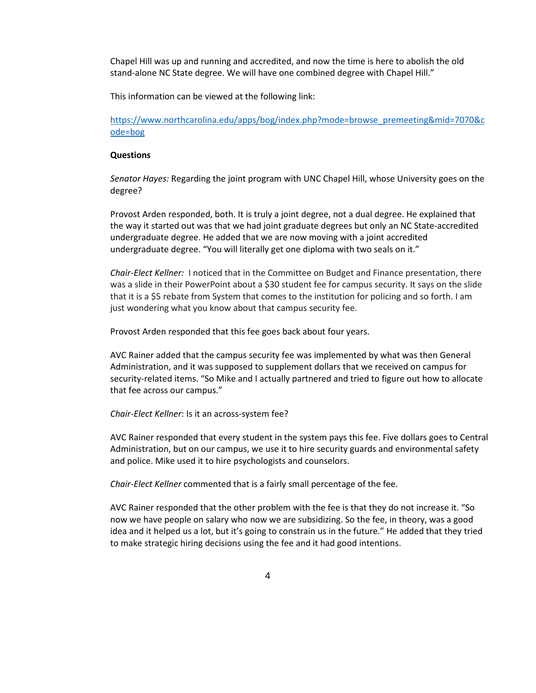Chapel Hill was up and running and accredited, and now the time is here to abolish the old stand-alone NC State degree. We will have one combined degree with Chapel Hill."

This information can be viewed at the following link:

[https://www.northcarolina.edu/apps/bog/index.php?mode=browse\\_premeeting&mid=7070&c](https://www.northcarolina.edu/apps/bog/index.php?mode=browse_premeeting&mid=7070&code=bog) [ode=bog](https://www.northcarolina.edu/apps/bog/index.php?mode=browse_premeeting&mid=7070&code=bog)

#### **Questions**

*Senator Hayes:* Regarding the joint program with UNC Chapel Hill, whose University goes on the degree?

Provost Arden responded, both. It is truly a joint degree, not a dual degree. He explained that the way it started out was that we had joint graduate degrees but only an NC State-accredited undergraduate degree. He added that we are now moving with a joint accredited undergraduate degree. "You will literally get one diploma with two seals on it."

*Chair-Elect Kellner:* I noticed that in the Committee on Budget and Finance presentation, there was a slide in their PowerPoint about a \$30 student fee for campus security. It says on the slide that it is a \$5 rebate from System that comes to the institution for policing and so forth. I am just wondering what you know about that campus security fee.

Provost Arden responded that this fee goes back about four years.

AVC Rainer added that the campus security fee was implemented by what was then General Administration, and it was supposed to supplement dollars that we received on campus for security-related items. "So Mike and I actually partnered and tried to figure out how to allocate that fee across our campus."

*Chair-Elect Kellner*: Is it an across-system fee?

AVC Rainer responded that every student in the system pays this fee. Five dollars goes to Central Administration, but on our campus, we use it to hire security guards and environmental safety and police. Mike used it to hire psychologists and counselors.

*Chair-Elect Kellner* commented that is a fairly small percentage of the fee.

AVC Rainer responded that the other problem with the fee is that they do not increase it. "So now we have people on salary who now we are subsidizing. So the fee, in theory, was a good idea and it helped us a lot, but it's going to constrain us in the future." He added that they tried to make strategic hiring decisions using the fee and it had good intentions.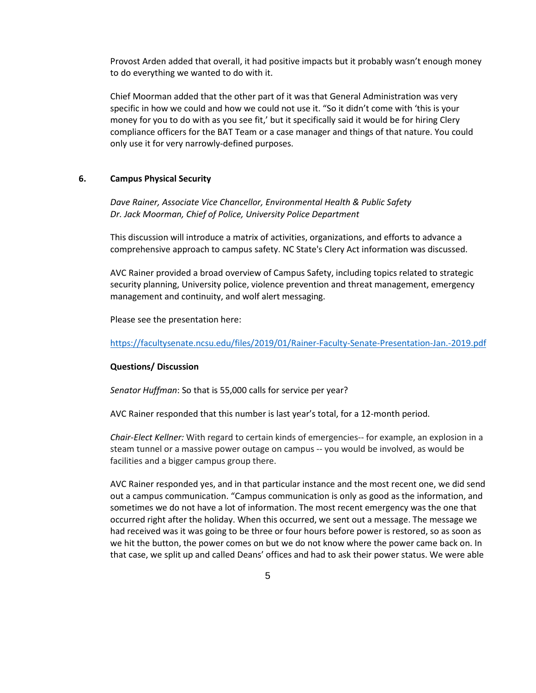Provost Arden added that overall, it had positive impacts but it probably wasn't enough money to do everything we wanted to do with it.

Chief Moorman added that the other part of it was that General Administration was very specific in how we could and how we could not use it. "So it didn't come with 'this is your money for you to do with as you see fit,' but it specifically said it would be for hiring Clery compliance officers for the BAT Team or a case manager and things of that nature. You could only use it for very narrowly-defined purposes.

### **6. Campus Physical Security**

*Dave Rainer, Associate Vice Chancellor, Environmental Health & Public Safety Dr. Jack Moorman, Chief of Police, University Police Department*

This discussion will introduce a matrix of activities, organizations, and efforts to advance a comprehensive approach to campus safety. NC State's Clery Act information was discussed.

AVC Rainer provided a broad overview of Campus Safety, including topics related to strategic security planning, University police, violence prevention and threat management, emergency management and continuity, and wolf alert messaging.

Please see the presentation here:

<https://facultysenate.ncsu.edu/files/2019/01/Rainer-Faculty-Senate-Presentation-Jan.-2019.pdf>

#### **Questions/ Discussion**

*Senator Huffman*: So that is 55,000 calls for service per year?

AVC Rainer responded that this number is last year's total, for a 12-month period.

*Chair-Elect Kellner:* With regard to certain kinds of emergencies-- for example, an explosion in a steam tunnel or a massive power outage on campus -- you would be involved, as would be facilities and a bigger campus group there.

AVC Rainer responded yes, and in that particular instance and the most recent one, we did send out a campus communication. "Campus communication is only as good as the information, and sometimes we do not have a lot of information. The most recent emergency was the one that occurred right after the holiday. When this occurred, we sent out a message. The message we had received was it was going to be three or four hours before power is restored, so as soon as we hit the button, the power comes on but we do not know where the power came back on. In that case, we split up and called Deans' offices and had to ask their power status. We were able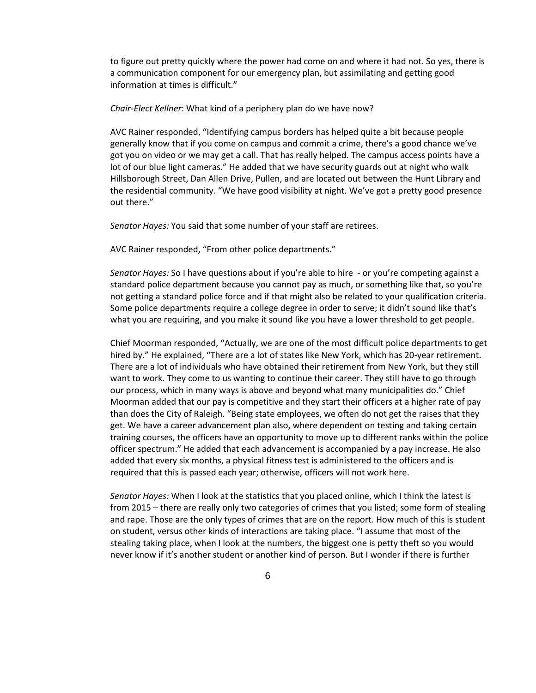to figure out pretty quickly where the power had come on and where it had not. So yes, there is a communication component for our emergency plan, but assimilating and getting good information at times is difficult."

*Chair-Elect Kellner*: What kind of a periphery plan do we have now?

AVC Rainer responded, "Identifying campus borders has helped quite a bit because people generally know that if you come on campus and commit a crime, there's a good chance we've got you on video or we may get a call. That has really helped. The campus access points have a lot of our blue light cameras." He added that we have security guards out at night who walk Hillsborough Street, Dan Allen Drive, Pullen, and are located out between the Hunt Library and the residential community. "We have good visibility at night. We've got a pretty good presence out there."

*Senator Hayes:* You said that some number of your staff are retirees.

AVC Rainer responded, "From other police departments."

*Senator Hayes:* So I have questions about if you're able to hire - or you're competing against a standard police department because you cannot pay as much, or something like that, so you're not getting a standard police force and if that might also be related to your qualification criteria. Some police departments require a college degree in order to serve; it didn't sound like that's what you are requiring, and you make it sound like you have a lower threshold to get people.

Chief Moorman responded, "Actually, we are one of the most difficult police departments to get hired by." He explained, "There are a lot of states like New York, which has 20-year retirement. There are a lot of individuals who have obtained their retirement from New York, but they still want to work. They come to us wanting to continue their career. They still have to go through our process, which in many ways is above and beyond what many municipalities do." Chief Moorman added that our pay is competitive and they start their officers at a higher rate of pay than does the City of Raleigh. "Being state employees, we often do not get the raises that they get. We have a career advancement plan also, where dependent on testing and taking certain training courses, the officers have an opportunity to move up to different ranks within the police officer spectrum." He added that each advancement is accompanied by a pay increase. He also added that every six months, a physical fitness test is administered to the officers and is required that this is passed each year; otherwise, officers will not work here.

*Senator Hayes:* When I look at the statistics that you placed online, which I think the latest is from 2015 – there are really only two categories of crimes that you listed; some form of stealing and rape. Those are the only types of crimes that are on the report. How much of this is student on student, versus other kinds of interactions are taking place. "I assume that most of the stealing taking place, when I look at the numbers, the biggest one is petty theft so you would never know if it's another student or another kind of person. But I wonder if there is further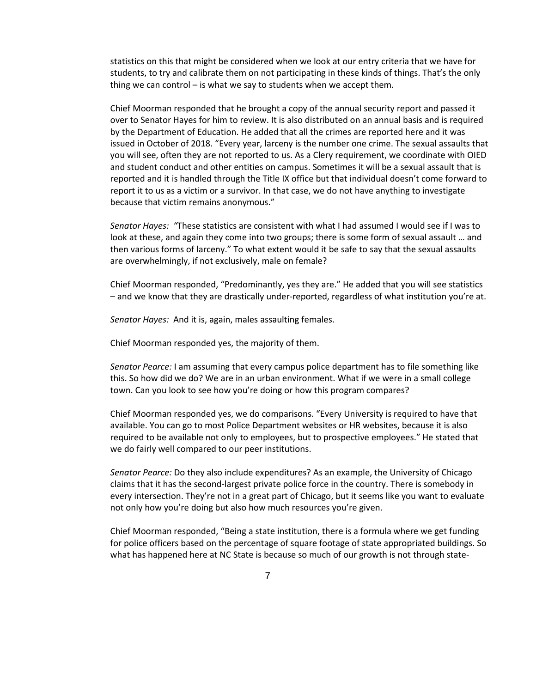statistics on this that might be considered when we look at our entry criteria that we have for students, to try and calibrate them on not participating in these kinds of things. That's the only thing we can control – is what we say to students when we accept them.

Chief Moorman responded that he brought a copy of the annual security report and passed it over to Senator Hayes for him to review. It is also distributed on an annual basis and is required by the Department of Education. He added that all the crimes are reported here and it was issued in October of 2018. "Every year, larceny is the number one crime. The sexual assaults that you will see, often they are not reported to us. As a Clery requirement, we coordinate with OIED and student conduct and other entities on campus. Sometimes it will be a sexual assault that is reported and it is handled through the Title IX office but that individual doesn't come forward to report it to us as a victim or a survivor. In that case, we do not have anything to investigate because that victim remains anonymous."

*Senator Hayes: "*These statistics are consistent with what I had assumed I would see if I was to look at these, and again they come into two groups; there is some form of sexual assault … and then various forms of larceny." To what extent would it be safe to say that the sexual assaults are overwhelmingly, if not exclusively, male on female?

Chief Moorman responded, "Predominantly, yes they are." He added that you will see statistics – and we know that they are drastically under-reported, regardless of what institution you're at.

*Senator Hayes:* And it is, again, males assaulting females.

Chief Moorman responded yes, the majority of them.

*Senator Pearce:* I am assuming that every campus police department has to file something like this. So how did we do? We are in an urban environment. What if we were in a small college town. Can you look to see how you're doing or how this program compares?

Chief Moorman responded yes, we do comparisons. "Every University is required to have that available. You can go to most Police Department websites or HR websites, because it is also required to be available not only to employees, but to prospective employees." He stated that we do fairly well compared to our peer institutions.

*Senator Pearce:* Do they also include expenditures? As an example, the University of Chicago claims that it has the second-largest private police force in the country. There is somebody in every intersection. They're not in a great part of Chicago, but it seems like you want to evaluate not only how you're doing but also how much resources you're given.

Chief Moorman responded, "Being a state institution, there is a formula where we get funding for police officers based on the percentage of square footage of state appropriated buildings. So what has happened here at NC State is because so much of our growth is not through state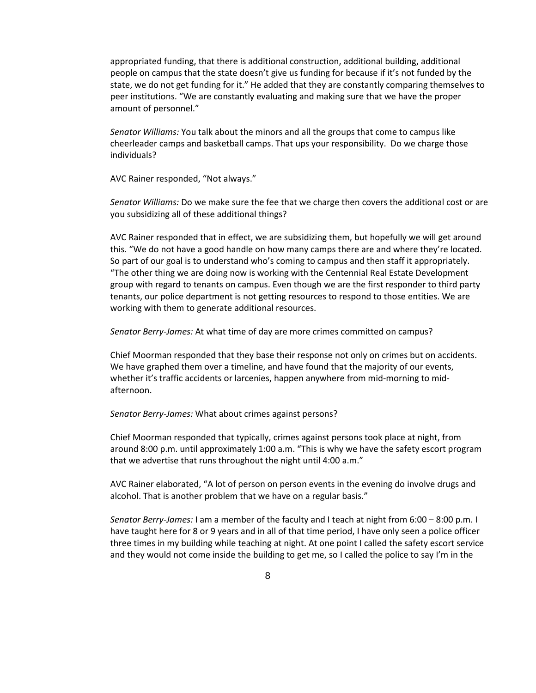appropriated funding, that there is additional construction, additional building, additional people on campus that the state doesn't give us funding for because if it's not funded by the state, we do not get funding for it." He added that they are constantly comparing themselves to peer institutions. "We are constantly evaluating and making sure that we have the proper amount of personnel."

*Senator Williams:* You talk about the minors and all the groups that come to campus like cheerleader camps and basketball camps. That ups your responsibility. Do we charge those individuals?

AVC Rainer responded, "Not always."

*Senator Williams:* Do we make sure the fee that we charge then covers the additional cost or are you subsidizing all of these additional things?

AVC Rainer responded that in effect, we are subsidizing them, but hopefully we will get around this. "We do not have a good handle on how many camps there are and where they're located. So part of our goal is to understand who's coming to campus and then staff it appropriately. "The other thing we are doing now is working with the Centennial Real Estate Development group with regard to tenants on campus. Even though we are the first responder to third party tenants, our police department is not getting resources to respond to those entities. We are working with them to generate additional resources.

*Senator Berry-James:* At what time of day are more crimes committed on campus?

Chief Moorman responded that they base their response not only on crimes but on accidents. We have graphed them over a timeline, and have found that the majority of our events, whether it's traffic accidents or larcenies, happen anywhere from mid-morning to midafternoon.

*Senator Berry-James:* What about crimes against persons?

Chief Moorman responded that typically, crimes against persons took place at night, from around 8:00 p.m. until approximately 1:00 a.m. "This is why we have the safety escort program that we advertise that runs throughout the night until 4:00 a.m."

AVC Rainer elaborated, "A lot of person on person events in the evening do involve drugs and alcohol. That is another problem that we have on a regular basis."

*Senator Berry-James:* I am a member of the faculty and I teach at night from 6:00 – 8:00 p.m. I have taught here for 8 or 9 years and in all of that time period, I have only seen a police officer three times in my building while teaching at night. At one point I called the safety escort service and they would not come inside the building to get me, so I called the police to say I'm in the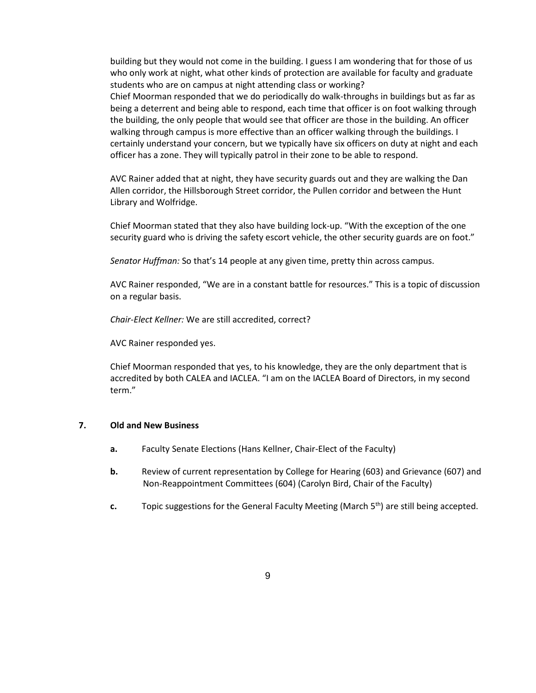building but they would not come in the building. I guess I am wondering that for those of us who only work at night, what other kinds of protection are available for faculty and graduate students who are on campus at night attending class or working?

Chief Moorman responded that we do periodically do walk-throughs in buildings but as far as being a deterrent and being able to respond, each time that officer is on foot walking through the building, the only people that would see that officer are those in the building. An officer walking through campus is more effective than an officer walking through the buildings. I certainly understand your concern, but we typically have six officers on duty at night and each officer has a zone. They will typically patrol in their zone to be able to respond.

AVC Rainer added that at night, they have security guards out and they are walking the Dan Allen corridor, the Hillsborough Street corridor, the Pullen corridor and between the Hunt Library and Wolfridge.

Chief Moorman stated that they also have building lock-up. "With the exception of the one security guard who is driving the safety escort vehicle, the other security guards are on foot."

*Senator Huffman:* So that's 14 people at any given time, pretty thin across campus.

AVC Rainer responded, "We are in a constant battle for resources." This is a topic of discussion on a regular basis.

*Chair-Elect Kellner:* We are still accredited, correct?

AVC Rainer responded yes.

Chief Moorman responded that yes, to his knowledge, they are the only department that is accredited by both CALEA and IACLEA. "I am on the IACLEA Board of Directors, in my second term."

#### **7. Old and New Business**

- **a.** Faculty Senate Elections (Hans Kellner, Chair-Elect of the Faculty)
- **b.** Review of current representation by College for Hearing (603) and Grievance (607) and Non-Reappointment Committees (604) (Carolyn Bird, Chair of the Faculty)
- **c.** Topic suggestions for the General Faculty Meeting (March 5<sup>th</sup>) are still being accepted.